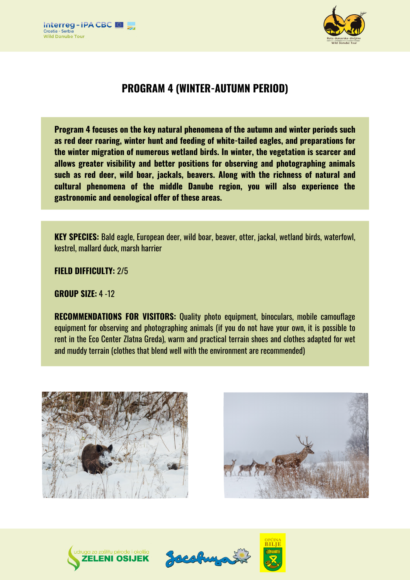



# **PROGRAM 4 (WINTER-AUTUMN PERIOD)**

**Program 4 focuses on the key natural phenomena of the autumn and winter periods such as red deer roaring, winter hunt and feeding of white-tailed eagles, and preparations for the winter migration of numerous wetland birds. In winter, the vegetation is scarcer and allows greater visibility and better positions for observing and photographing animals such as red deer, wild boar, jackals, beavers. Along with the richness of natural and cultural phenomena of the middle Danube region, you will also experience the gastronomic and oenological offer of these areas.**

**KEY SPECIES:** Bald eagle, European deer, wild boar, beaver, otter, jackal, wetland birds, waterfowl, kestrel, mallard duck, marsh harrier

**FIELD DIFFICULTY:** 2/5

**GROUP SIZE:** 4 -12

**RECOMMENDATIONS FOR VISITORS:** Quality photo equipment, binoculars, mobile camouflage equipment for observing and photographing animals (if you do not have your own, it is possible to rent in the Eco Center Zlatna Greda), warm and practical terrain shoes and clothes adapted for wet and muddy terrain (clothes that blend well with the environment are recommended)









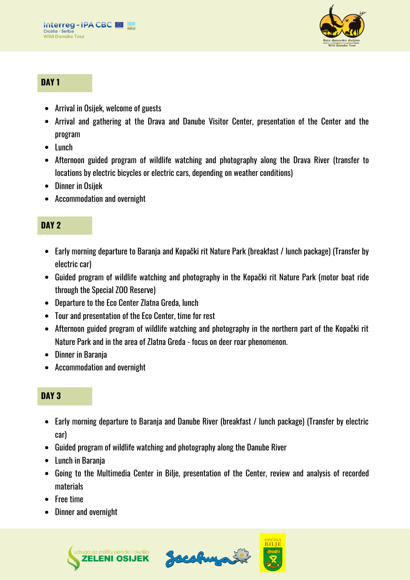

### **DAY 1**

- Arrival in Osijek, welcome of guests
- Arrival and gathering at the Drava and Danube Visitor Center, presentation of the Center and the program
- Lunch
- Afternoon guided program of wildlife watching and photography along the Drava River (transfer to locations by electric bicycles or electric cars, depending on weather conditions)
- Dinner in Osijek
- Accommodation and overnight

### **DAY 2**

- Early morning departure to Baranja and Kopački rit Nature Park (breakfast / lunch package) (Transfer by electric car)
- Guided program of wildlife watching and photography in the Kopački rit Nature Park (motor boat ride through the Special ZOO Reserve)
- Departure to the Eco Center Zlatna Greda, lunch
- Tour and presentation of the Eco Center, time for rest
- Afternoon guided program of wildlife watching and photography in the northern part of the Kopački rit Nature Park and in the area of Zlatna Greda - focus on deer roar phenomenon.
- Dinner in Baranja
- Accommodation and overnight

## **DAY 3**

- Early morning departure to Baranja and Danube River (breakfast / lunch package) (Transfer by electric car)
- Guided program of wildlife watching and photography along the Danube River
- Lunch in Baranja
- Going to the Multimedia Center in Bilje, presentation of the Center, review and analysis of recorded materials
- Free time
- Dinner and overnight